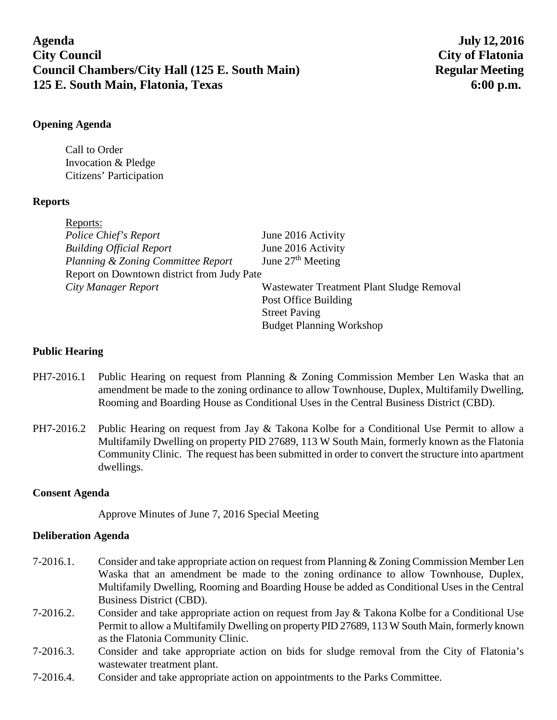**Agenda July 12, 2016 City Council City of Flatonia Council Chambers/City Hall (125 E. South Main)** Regular Meeting **125 E. South Main, Flatonia, Texas 6:00 p.m.**

## **Opening Agenda**

Call to Order Invocation & Pledge Citizens' Participation

# **Reports**

| June 2016 Activity                         |
|--------------------------------------------|
| June 2016 Activity                         |
| June $27th$ Meeting                        |
| Report on Downtown district from Judy Pate |
| Wastewater Treatment Plant Sludge Removal  |
| Post Office Building                       |
| <b>Street Paving</b>                       |
| <b>Budget Planning Workshop</b>            |
|                                            |

#### **Public Hearing**

- PH7-2016.1 Public Hearing on request from Planning & Zoning Commission Member Len Waska that an amendment be made to the zoning ordinance to allow Townhouse, Duplex, Multifamily Dwelling, Rooming and Boarding House as Conditional Uses in the Central Business District (CBD).
- PH7-2016.2 Public Hearing on request from Jay & Takona Kolbe for a Conditional Use Permit to allow a Multifamily Dwelling on property PID 27689, 113 W South Main, formerly known as the Flatonia Community Clinic. The request has been submitted in order to convert the structure into apartment dwellings.

# **Consent Agenda**

Approve Minutes of June 7, 2016 Special Meeting

# **Deliberation Agenda**

- 7-2016.1. Consider and take appropriate action on request from Planning & Zoning Commission Member Len Waska that an amendment be made to the zoning ordinance to allow Townhouse, Duplex, Multifamily Dwelling, Rooming and Boarding House be added as Conditional Uses in the Central Business District (CBD).
- 7-2016.2. Consider and take appropriate action on request from Jay & Takona Kolbe for a Conditional Use Permit to allow a Multifamily Dwelling on property PID 27689, 113 W South Main, formerly known as the Flatonia Community Clinic.
- 7-2016.3. Consider and take appropriate action on bids for sludge removal from the City of Flatonia's wastewater treatment plant.
- 7-2016.4. Consider and take appropriate action on appointments to the Parks Committee.